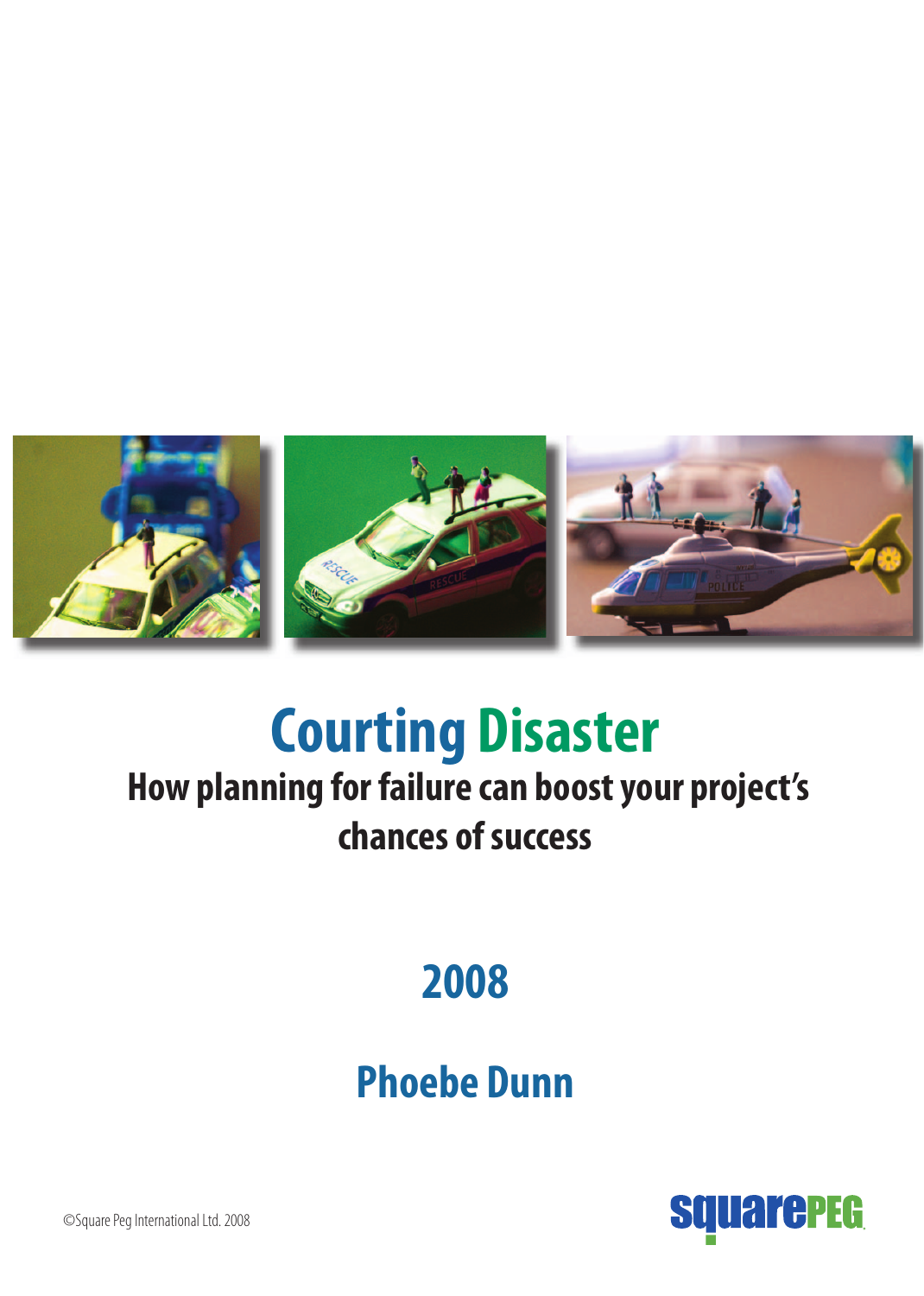

# **Courting Disaster**

## **How planning for failure can boost your project's chances of success**

## **2008**

## **Phoebe Dunn**



©Square Peg International Ltd. 2008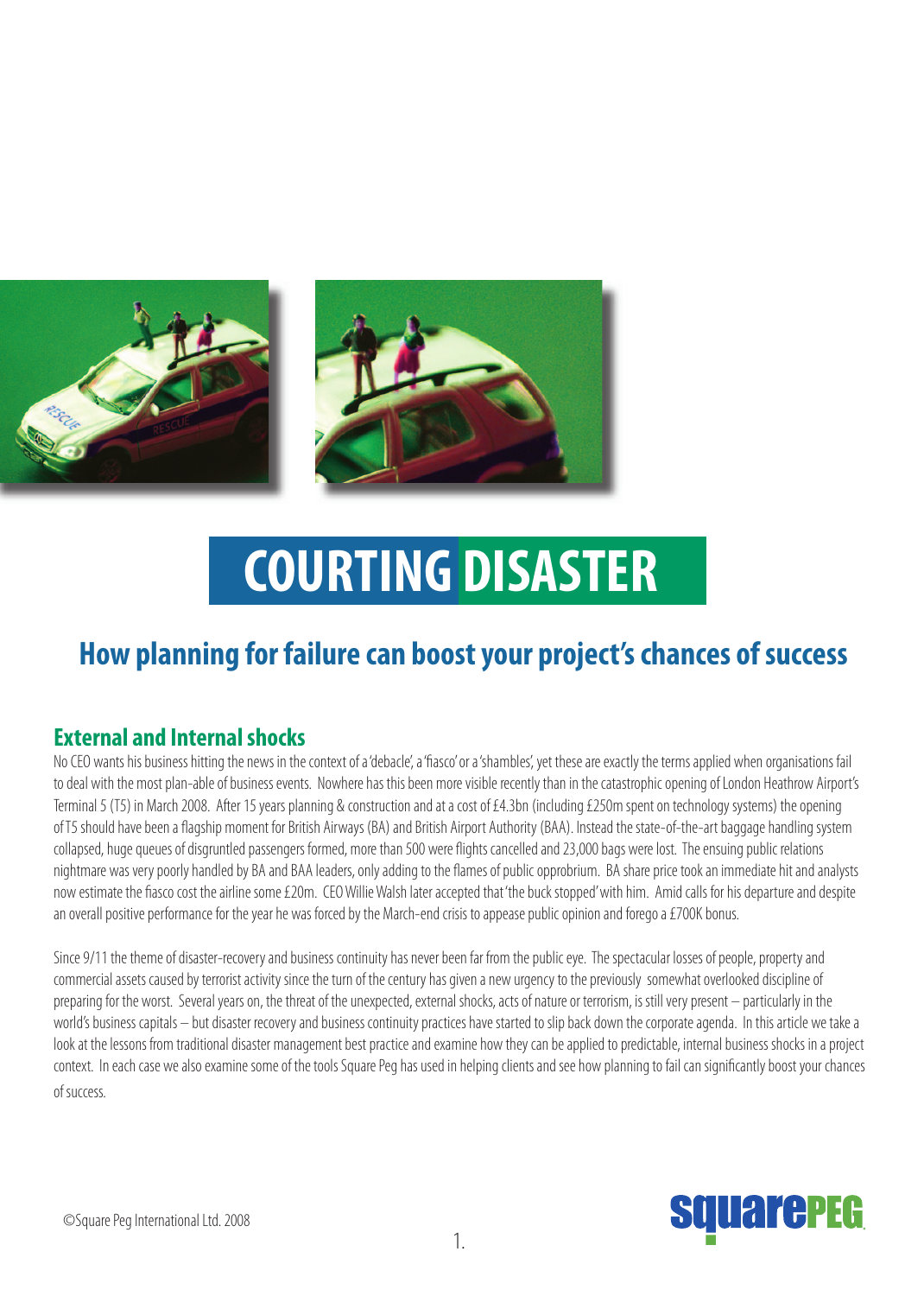

# **COURTING DISASTER**

## **How planning for failure can boost your project's chances of success**

### **External and Internal shocks**

No CEO wants his business hitting the news in the context of a 'debacle', a 'fiasco' or a 'shambles', yet these are exactly the terms applied when organisations fail to deal with the most plan-able of business events. Nowhere has this been more visible recently than in the catastrophic opening of London Heathrow Airport's Terminal 5 (T5) in March 2008. After 15 years planning & construction and at a cost of £4.3bn (including £250m spent on technology systems) the opening of T5 should have been a flagship moment for British Airways (BA) and British Airport Authority (BAA). Instead the state-of-the-art baggage handling system collapsed, huge queues of disgruntled passengers formed, more than 500 were flights cancelled and 23,000 bags were lost. The ensuing public relations nightmare was very poorly handled by BA and BAA leaders, only adding to the flames of public opprobrium. BA share price took an immediate hit and analysts now estimate the fiasco cost the airline some £20m. CEO Willie Walsh later accepted that 'the buck stopped' with him. Amid calls for his departure and despite an overall positive performance for the year he was forced by the March-end crisis to appease public opinion and forego a £700K bonus.

Since 9/11 the theme of disaster-recovery and business continuity has never been far from the public eye. The spectacular losses of people, property and commercial assets caused by terrorist activity since the turn of the century has given a new urgency to the previously somewhat overlooked discipline of preparing for the worst. Several years on, the threat of the unexpected, external shocks, acts of nature or terrorism, is still very present – particularly in the world's business capitals – but disaster recovery and business continuity practices have started to slip back down the corporate agenda. In this article we take a look at the lessons from traditional disaster management best practice and examine how they can be applied to predictable, internal business shocks in a project context. In each case we also examine some of the tools Square Peg has used in helping clients and see how planning to fail can significantly boost your chances of success.

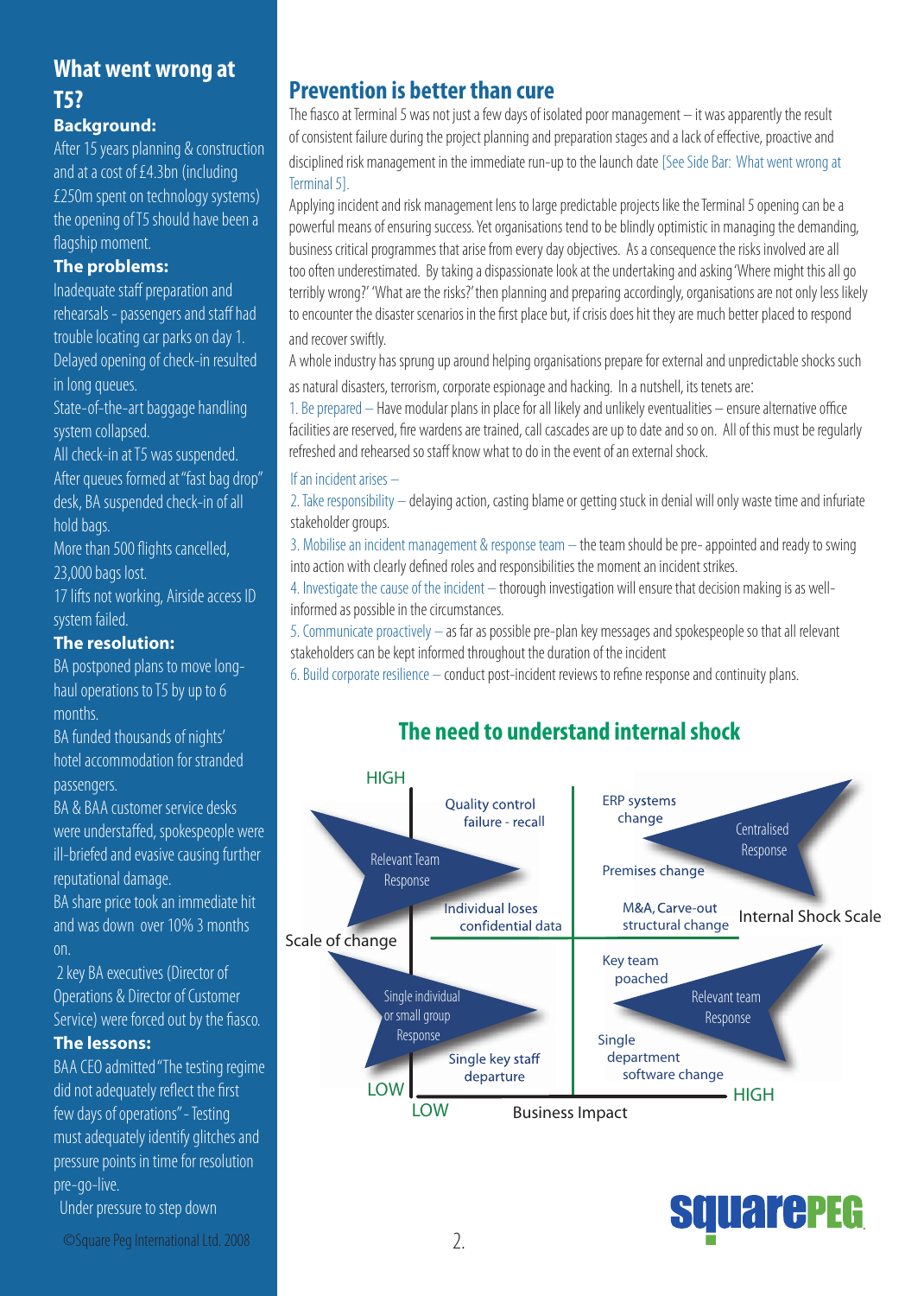### What went wrong at **T5?**

### **Background:**

After 15 years planning & construction and at a cost of £4.3bn (including £250m spent on technology systems) the opening of T5 should have been a flagship moment.

### The problems:

Inadequate staff preparation and rehearsals - passengers and staff had trouble locating car parks on day 1. Delayed opening of check-in resulted in long queues.

State-of-the-art baggage handling system collapsed.

All check-in at T5 was suspended. After queues formed at "fast bag drop" desk. BA suspended check-in of all hold bags.

More than 500 flights cancelled, 23,000 bags lost.

17 lifts not working, Airside access ID system failed.

### The resolution:

BA postponed plans to move longhaul operations to T5 by up to 6 months.

BA funded thousands of nights' hotel accommodation for stranded passengers.

BA & BAA customer service desks were understaffed, spokespeople were ill-briefed and evasive causing further reputational damage.

BA share price took an immediate hit and was down over 10% 3 months on.

2 key BA executives (Director of Operations & Director of Customer Service) were forced out by the fiasco.

### **The lessons:**

BAA CEO admitted "The testing regime did not adequately reflect the first few days of operations" - Testing must adequately identify glitches and pressure points in time for resolution pre-go-live.

Under pressure to step down

### **Prevention is better than cure**

The fiasco at Terminal 5 was not just a few days of isolated poor management  $-$  it was apparently the result of consistent failure during the project planning and preparation stages and a lack of effective, proactive and

disciplined risk management in the immediate run-up to the launch date [See Side Bar: What went wrong at Terminal 5].

Applying incident and risk management lens to large predictable projects like the Terminal 5 opening can be a powerful means of ensuring success. Yet organisations tend to be blindly optimistic in managing the demanding, business critical programmes that arise from every day objectives. As a consequence the risks involved are all too often underestimated. By taking a dispassionate look at the undertaking and asking 'Where might this all go terribly wrong?' 'What are the risks?' then planning and preparing accordingly, organisations are not only less likely to encounter the disaster scenarios in the first place but, if crisis does hit they are much better placed to respond and recover swiftly.

A whole industry has sprung up around helping organisations prepare for external and unpredictable shocks such as natural disasters, terrorism, corporate espionage and hacking. In a nutshell, its tenets are:

1. Be prepared – Have modular plans in place for all likely and unlikely eventualities – ensure alternative office facilities are reserved, fire wardens are trained, call cascades are up to date and so on. All of this must be regularly refreshed and rehearsed so staff know what to do in the event of an external shock.

### If an incident arises -

2. Take responsibility – delaying action, casting blame or getting stuck in denial will only waste time and infuriate stakeholder groups.

3. Mobilise an incident management & response team - the team should be pre-appointed and ready to swing into action with clearly defined roles and responsibilities the moment an incident strikes.

4. Investigate the cause of the incident - thorough investigation will ensure that decision making is as wellinformed as possible in the circumstances.

5. Communicate proactively - as far as possible pre-plan key messages and spokespeople so that all relevant stakeholders can be kept informed throughout the duration of the incident

6. Build corporate resilience – conduct post-incident reviews to refine response and continuity plans.

### The need to understand internal shock





©Square Peg International Ltd. 2008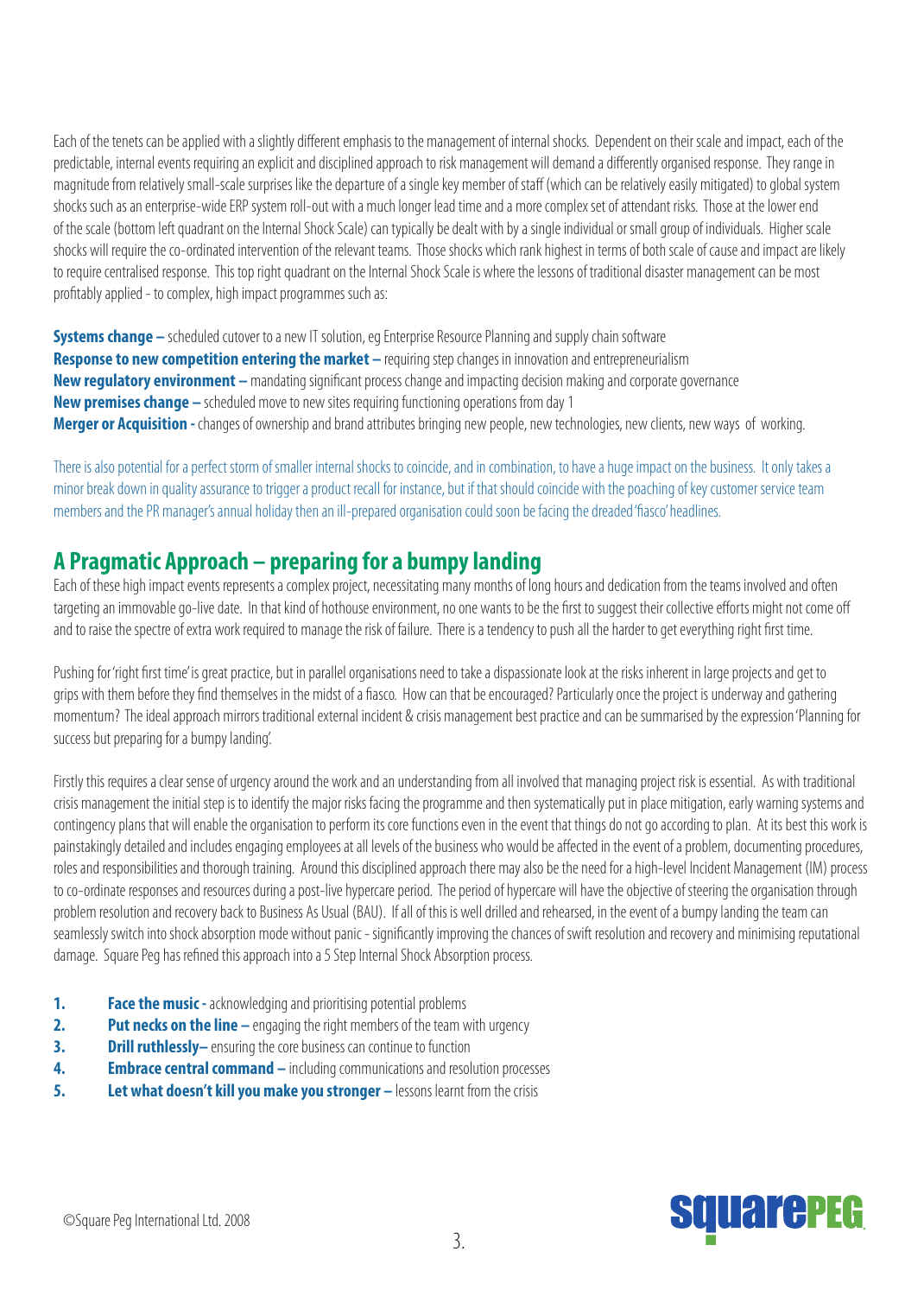Each of the tenets can be applied with a slightly different emphasis to the management of internal shocks. Dependent on their scale and impact, each of the predictable, internal events requiring an explicit and disciplined approach to risk management will demand a differently organised response. They range in magnitude from relatively small-scale surprises like the departure of a single key member of staff (which can be relatively easily mitigated) to global system shocks such as an enterprise-wide ERP system roll-out with a much longer lead time and a more complex set of attendant risks. Those at the lower end of the scale (bottom left quadrant on the Internal Shock Scale) can typically be dealt with by a single individual or small group of individuals. Higher scale shocks will require the co-ordinated intervention of the relevant teams. Those shocks which rank highest in terms of both scale of cause and impact are likely to require centralised response. This top right quadrant on the Internal Shock Scale is where the lessons of traditional disaster management can be most profitably applied - to complex, high impact programmes such as:

**Systems change –** scheduled cutover to a new IT solution, eg Enterprise Resource Planning and supply chain software **Response to new competition entering the market** – requiring step changes in innovation and entrepreneurialism **New regulatory environment –** mandating significant process change and impacting decision making and corporate governance **New premises change –** scheduled move to new sites requiring functioning operations from day 1 **Merger or Acquisition -** changes of ownership and brand attributes bringing new people, new technologies, new clients, new ways of working.

There is also potential for a perfect storm of smaller internal shocks to coincide, and in combination, to have a huge impact on the business. It only takes a minor break down in quality assurance to trigger a product recall for instance, but if that should coincide with the poaching of key customer service team members and the PR manager's annual holiday then an ill-prepared organisation could soon be facing the dreaded 'fiasco' headlines.

### **A Pragmatic Approach – preparing for a bumpy landing**

Each of these high impact events represents a complex project, necessitating many months of long hours and dedication from the teams involved and often targeting an immovable go-live date. In that kind of hothouse environment, no one wants to be the first to suggest their collective efforts might not come off and to raise the spectre of extra work required to manage the risk of failure. There is a tendency to push all the harder to get everything right first time.

Pushing for 'right first time' is great practice, but in parallel organisations need to take a dispassionate look at the risks inherent in large projects and get to grips with them before they find themselves in the midst of a fiasco. How can that be encouraged? Particularly once the project is underway and gathering momentum? The ideal approach mirrors traditional external incident & crisis management best practice and can be summarised by the expression 'Planning for success but preparing for a bumpy landing'.

Firstly this requires a clear sense of urgency around the work and an understanding from all involved that managing project risk is essential. As with traditional crisis management the initial step is to identify the major risks facing the programme and then systematically put in place mitigation, early warning systems and contingency plans that will enable the organisation to perform its core functions even in the event that things do not go according to plan. At its best this work is painstakingly detailed and includes engaging employees at all levels of the business who would be affected in the event of a problem, documenting procedures, roles and responsibilities and thorough training. Around this disciplined approach there may also be the need for a high-level Incident Management (IM) process to co-ordinate responses and resources during a post-live hypercare period. The period of hypercare will have the objective of steering the organisation through problem resolution and recovery back to Business As Usual (BAU). If all of this is well drilled and rehearsed, in the event of a bumpy landing the team can seamlessly switch into shock absorption mode without panic - significantly improving the chances of swift resolution and recovery and minimising reputational damage. Square Peg has refined this approach into a 5 Step Internal Shock Absorption process.

- **1.** Face the music acknowledging and prioritising potential problems
- **2.** Put necks on the line engaging the right members of the team with urgency
- **3. Drill ruthlessly** ensuring the core business can continue to function
- **4.** Embrace central command including communications and resolution processes
- **5.** Let what doesn't kill you make you stronger lessons learnt from the crisis

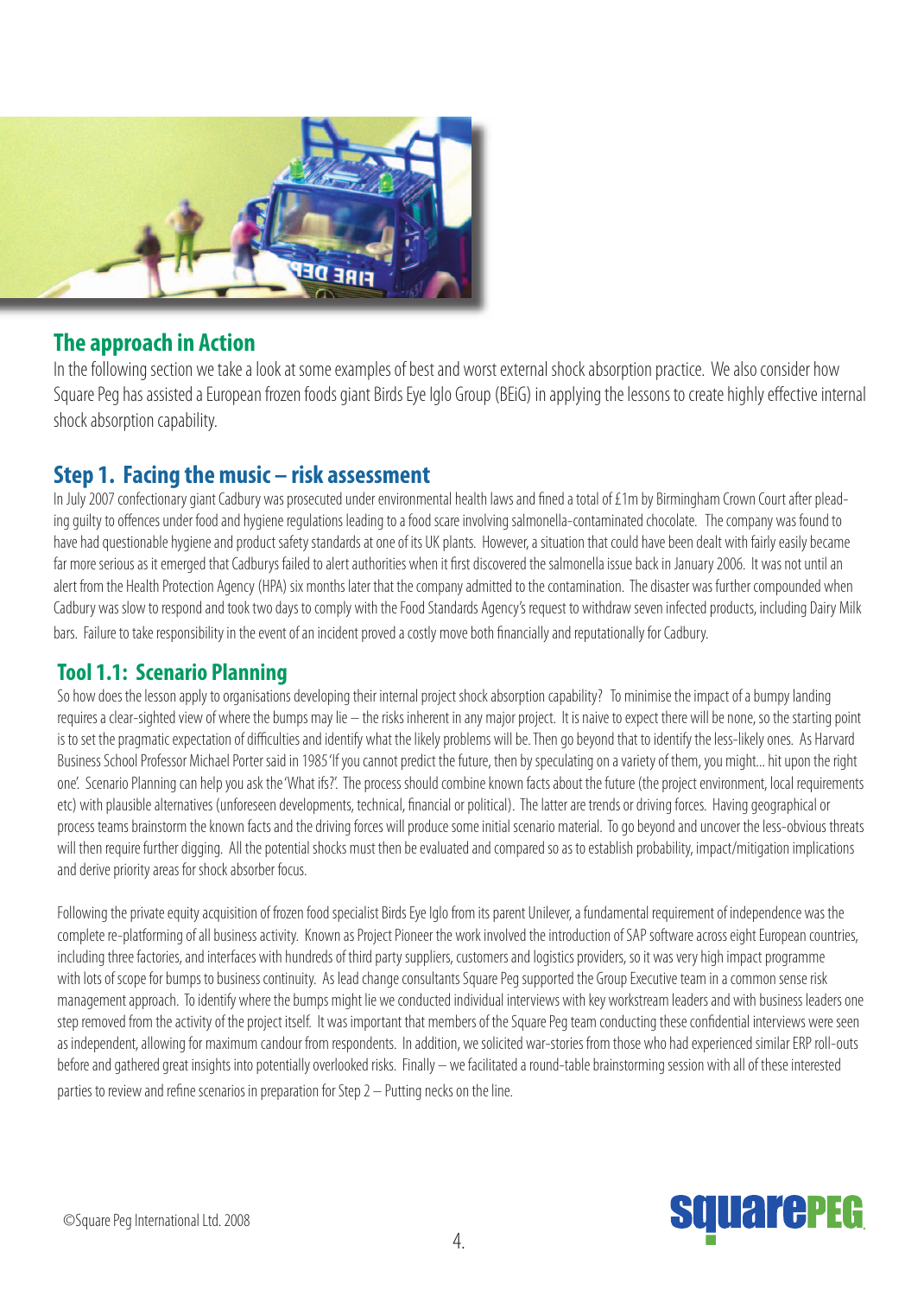

### **The approach in Action**

In the following section we take a look at some examples of best and worst external shock absorption practice. We also consider how Square Peg has assisted a European frozen foods giant Birds Eye Iglo Group (BEiG) in applying the lessons to create highly effective internal shock absorption capability.

### **Step 1. Facing the music – risk assessment**

In July 2007 confectionary giant Cadbury was prosecuted under environmental health laws and fined a total of £1m by Birmingham Crown Court after pleading guilty to offences under food and hygiene regulations leading to a food scare involving salmonella-contaminated chocolate. The company was found to have had questionable hygiene and product safety standards at one of its UK plants. However, a situation that could have been dealt with fairly easily became far more serious as it emerged that Cadburys failed to alert authorities when it first discovered the salmonella issue back in January 2006. It was not until an alert from the Health Protection Agency (HPA) six months later that the company admitted to the contamination. The disaster was further compounded when Cadbury was slow to respond and took two days to comply with the Food Standards Agency's request to withdraw seven infected products, including Dairy Milk bars. Failure to take responsibility in the event of an incident proved a costly move both financially and reputationally for Cadbury.

### **Tool 1.1: Scenario Planning**

So how does the lesson apply to organisations developing their internal project shock absorption capability? To minimise the impact of a bumpy landing requires a clear-sighted view of where the bumps may lie – the risks inherent in any major project. It is naive to expect there will be none, so the starting point is to set the pragmatic expectation of difficulties and identify what the likely problems will be. Then go beyond that to identify the less-likely ones. As Harvard Business School Professor Michael Porter said in 1985 'If you cannot predict the future, then by speculating on a variety of them, you might... hit upon the right one'. Scenario Planning can help you ask the 'What ifs?'. The process should combine known facts about the future (the project environment, local requirements etc) with plausible alternatives (unforeseen developments, technical, financial or political). The latter are trends or driving forces. Having geographical or process teams brainstorm the known facts and the driving forces will produce some initial scenario material. To go beyond and uncover the less-obvious threats will then require further digging. All the potential shocks must then be evaluated and compared so as to establish probability, impact/mitigation implications and derive priority areas for shock absorber focus.

Following the private equity acquisition of frozen food specialist Birds Eye Iglo from its parent Unilever, a fundamental requirement of independence was the complete re-platforming of all business activity. Known as Project Pioneer the work involved the introduction of SAP software across eight European countries, including three factories, and interfaces with hundreds of third party suppliers, customers and logistics providers, so it was very high impact programme with lots of scope for bumps to business continuity. As lead change consultants Square Peg supported the Group Executive team in a common sense risk management approach. To identify where the bumps might lie we conducted individual interviews with key workstream leaders and with business leaders one step removed from the activity of the project itself. It was important that members of the Square Peg team conducting these confidential interviews were seen as independent, allowing for maximum candour from respondents. In addition, we solicited war-stories from those who had experienced similar ERP roll-outs before and gathered great insights into potentially overlooked risks. Finally – we facilitated a round-table brainstorming session with all of these interested parties to review and refine scenarios in preparation for Step  $2$  – Putting necks on the line.

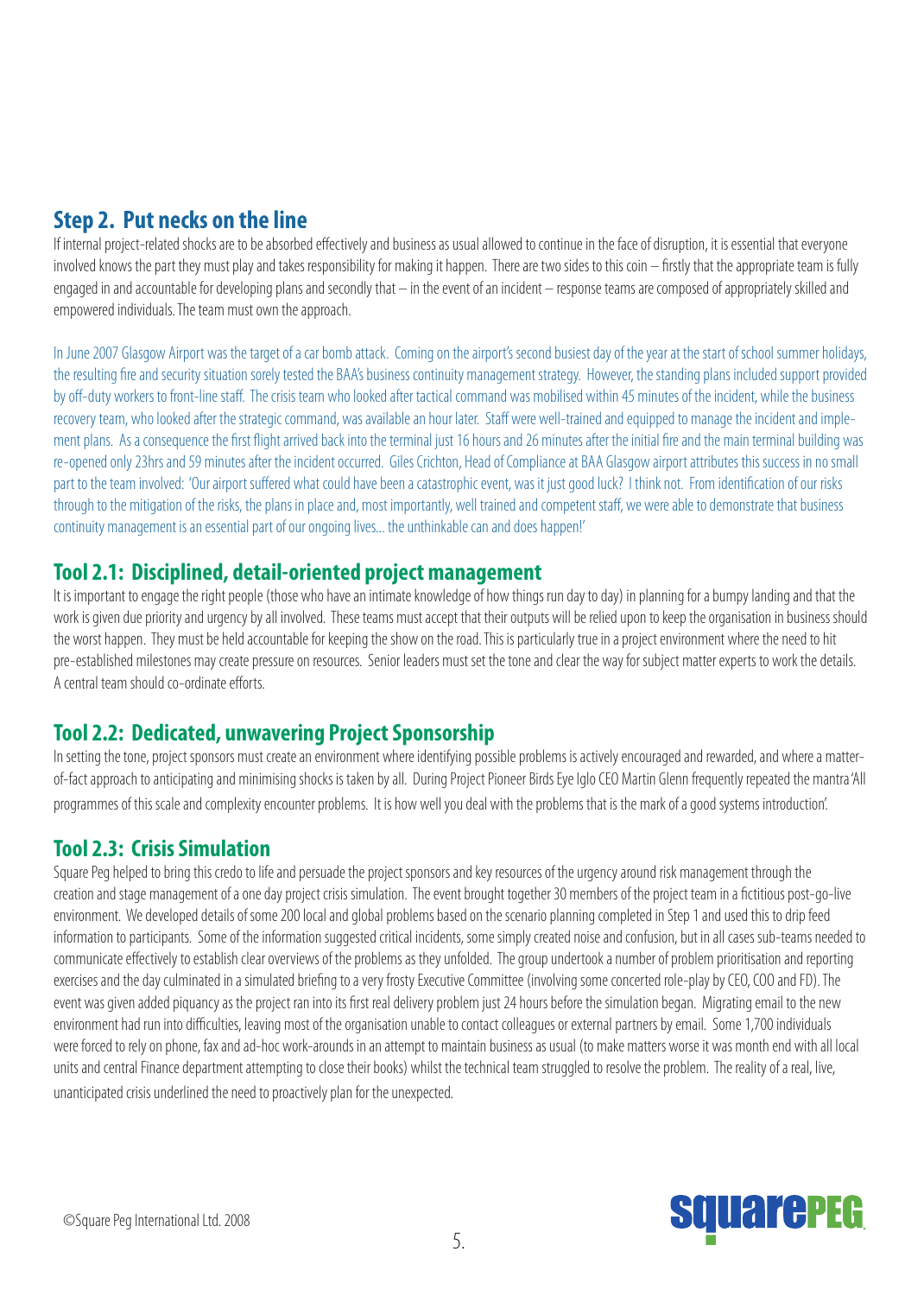### **Step 2. Put necks on the line**

If internal project-related shocks are to be absorbed effectively and business as usual allowed to continue in the face of disruption, it is essential that everyone involved knows the part they must play and takes responsibility for making it happen. There are two sides to this coin – firstly that the appropriate team is fully engaged in and accountable for developing plans and secondly that – in the event of an incident – response teams are composed of appropriately skilled and empowered individuals. The team must own the approach.

In June 2007 Glasgow Airport was the target of a car bomb attack. Coming on the airport's second busiest day of the year at the start of school summer holidays, the resulting fire and security situation sorely tested the BAA's business continuity management strategy. However, the standing plans included support provided by off-duty workers to front-line staff. The crisis team who looked after tactical command was mobilised within 45 minutes of the incident, while the business recovery team, who looked after the strategic command, was available an hour later. Staff were well-trained and equipped to manage the incident and implement plans. As a consequence the first flight arrived back into the terminal just 16 hours and 26 minutes after the initial fire and the main terminal building was re-opened only 23hrs and 59 minutes after the incident occurred. Giles Crichton, Head of Compliance at BAA Glasgow airport attributes this success in no small part to the team involved: 'Our airport suffered what could have been a catastrophic event, was it just good luck? I think not. From identification of our risks through to the mitigation of the risks, the plans in place and, most importantly, well trained and competent staff, we were able to demonstrate that business continuity management is an essential part of our ongoing lives... the unthinkable can and does happen!'

### **Tool 2.1: Disciplined, detail-oriented project management**

It is important to engage the right people (those who have an intimate knowledge of how things run day to day) in planning for a bumpy landing and that the work is given due priority and urgency by all involved. These teams must accept that their outputs will be relied upon to keep the organisation in business should the worst happen. They must be held accountable for keeping the show on the road. This is particularly true in a project environment where the need to hit pre-established milestones may create pressure on resources. Senior leaders must set the tone and clear the way for subject matter experts to work the details. A central team should co-ordinate efforts.

### **Tool 2.2: Dedicated, unwavering Project Sponsorship**

In setting the tone, project sponsors must create an environment where identifying possible problems is actively encouraged and rewarded, and where a matterof-fact approach to anticipating and minimising shocks is taken by all. During Project Pioneer Birds Eye Iglo CEO Martin Glenn frequently repeated the mantra 'All programmes of this scale and complexity encounter problems. It is how well you deal with the problems that is the mark of a good systems introduction'.

### **Tool 2.3: Crisis Simulation**

Square Peg helped to bring this credo to life and persuade the project sponsors and key resources of the urgency around risk management through the creation and stage management of a one day project crisis simulation. The event brought together 30 members of the project team in a fictitious post-go-live environment. We developed details of some 200 local and global problems based on the scenario planning completed in Step 1 and used this to drip feed information to participants. Some of the information suggested critical incidents, some simply created noise and confusion, but in all cases sub-teams needed to communicate effectively to establish clear overviews of the problems as they unfolded. The group undertook a number of problem prioritisation and reporting exercises and the day culminated in a simulated briefing to a very frosty Executive Committee (involving some concerted role-play by CEO, COO and FD). The event was given added piquancy as the project ran into its first real delivery problem just 24 hours before the simulation began. Migrating email to the new environment had run into difficulties, leaving most of the organisation unable to contact colleagues or external partners by email. Some 1,700 individuals were forced to rely on phone, fax and ad-hoc work-arounds in an attempt to maintain business as usual (to make matters worse it was month end with all local units and central Finance department attempting to close their books) whilst the technical team struggled to resolve the problem. The reality of a real, live, unanticipated crisis underlined the need to proactively plan for the unexpected.

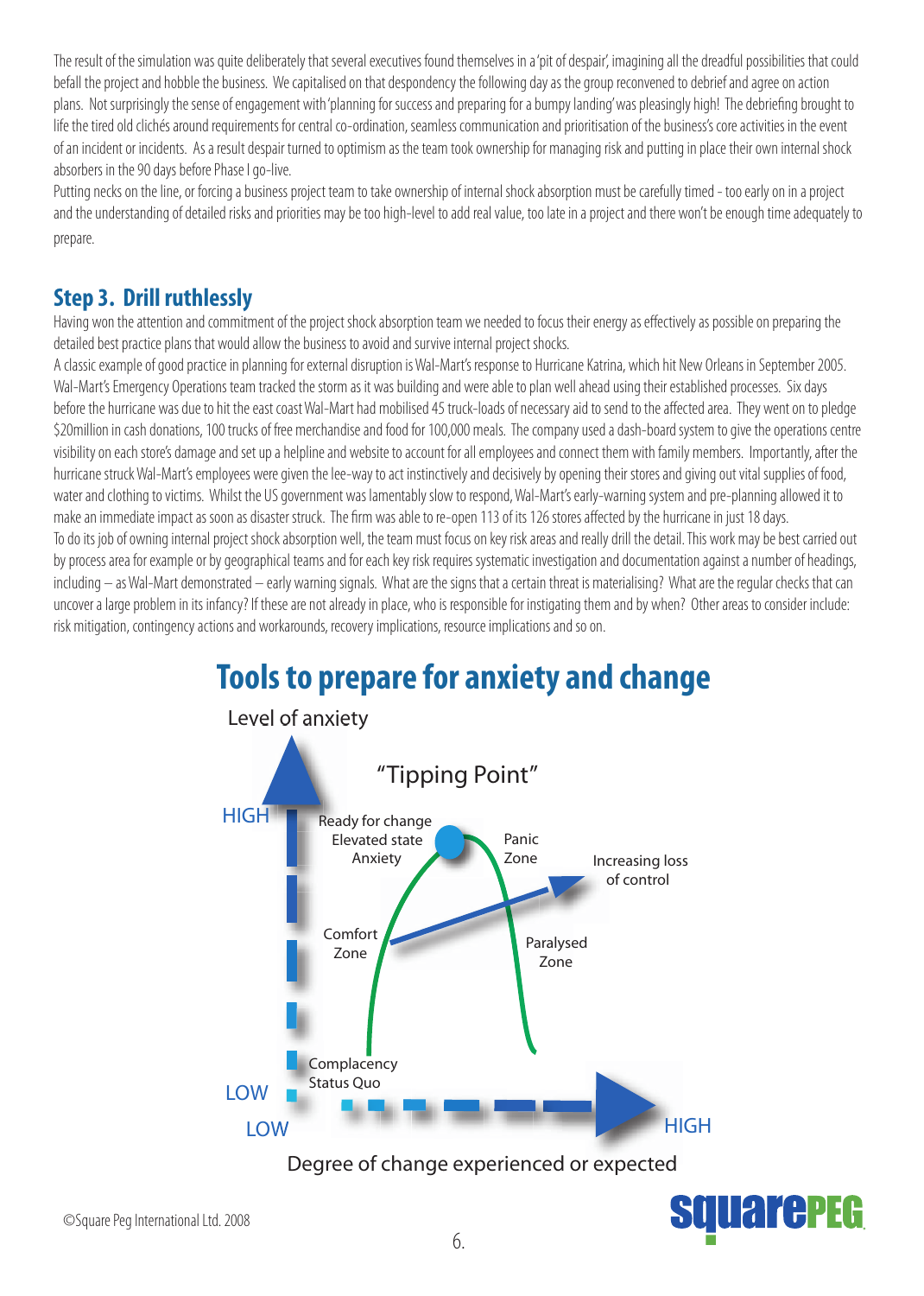The result of the simulation was quite deliberately that several executives found themselves in a 'pit of despair', imagining all the dreadful possibilities that could befall the project and hobble the business. We capitalised on that despondency the following day as the group reconvened to debrief and agree on action plans. Not surprisingly the sense of engagement with 'planning for success and preparing for a bumpy landing' was pleasingly high! The debriefing brought to life the tired old clichés around requirements for central co-ordination, seamless communication and prioritisation of the business's core activities in the event of an incident or incidents. As a result despair turned to optimism as the team took ownership for managing risk and putting in place their own internal shock absorbers in the 90 days before Phase I go-live.

Putting necks on the line, or forcing a business project team to take ownership of internal shock absorption must be carefully timed - too early on in a project and the understanding of detailed risks and priorities may be too high-level to add real value, too late in a project and there won't be enough time adequately to prepare.

### **Step 3. Drill ruthlessly**

Having won the attention and commitment of the project shock absorption team we needed to focus their energy as effectively as possible on preparing the detailed best practice plans that would allow the business to avoid and survive internal project shocks.

A classic example of good practice in planning for external disruption is Wal-Mart's response to Hurricane Katrina, which hit New Orleans in September 2005. Wal-Mart's Emergency Operations team tracked the storm as it was building and were able to plan well ahead using their established processes. Six days before the hurricane was due to hit the east coast Wal-Mart had mobilised 45 truck-loads of necessary aid to send to the affected area. They went on to pledge \$20 million in cash donations, 100 trucks of free merchandise and food for 100,000 meals. The company used a dash-board system to give the operations centre visibility on each store's damage and set up a helpline and website to account for all employees and connect them with family members. Importantly, after the hurricane struck Wal-Mart's employees were given the lee-way to act instinctively and decisively by opening their stores and giving out vital supplies of food, water and clothing to victims. Whilst the US government was lamentably slow to respond, Wal-Mart's early-warning system and pre-planning allowed it to make an immediate impact as soon as disaster struck. The firm was able to re-open 113 of its 126 stores affected by the hurricane in just 18 days. To do its job of owning internal project shock absorption well, the team must focus on key risk areas and really drill the detail. This work may be best carried out by process area for example or by geographical teams and for each key risk requires systematic investigation and documentation against a number of headings, including — as Wal-Mart demonstrated — early warning signals. What are the signs that a certain threat is materialising? What are the regular checks that can uncover a large problem in its infancy? If these are not already in place, who is responsible for instigating them and by when? Other areas to consider include: risk mitigation, contingency actions and workarounds, recovery implications, resource implications and so on.

**Tools to prepare for anxiety and change** 



**PECE REAL**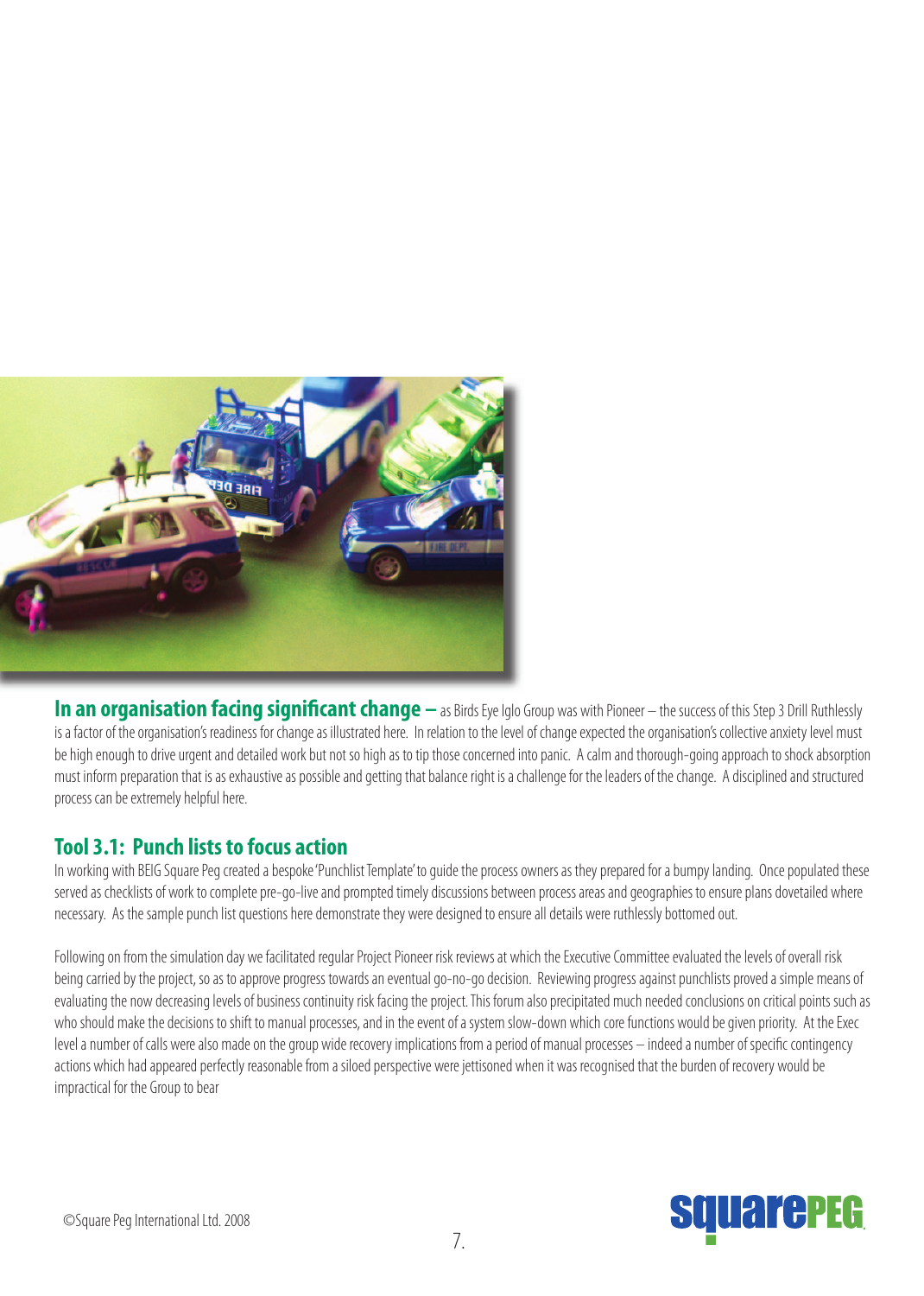

**In an organisation facing significant change** — as Birds Eye Iglo Group was with Pioneer – the success of this Step 3 Drill Ruthlessly is a factor of the organisation's readiness for change as illustrated here. In relation to the level of change expected the organisation's collective anxiety level must be high enough to drive urgent and detailed work but not so high as to tip those concerned into panic. A calm and thorough-going approach to shock absorption must inform preparation that is as exhaustive as possible and getting that balance right is a challenge for the leaders of the change. A disciplined and structured process can be extremely helpful here.

### **Tool 3.1: Punch lists to focus action**

In working with BEIG Square Peg created a bespoke 'Punchlist Template' to guide the process owners as they prepared for a bumpy landing. Once populated these served as checklists of work to complete pre-go-live and prompted timely discussions between process areas and geographies to ensure plans dovetailed where necessary. As the sample punch list questions here demonstrate they were designed to ensure all details were ruthlessly bottomed out.

Following on from the simulation day we facilitated regular Project Pioneer risk reviews at which the Executive Committee evaluated the levels of overall risk being carried by the project, so as to approve progress towards an eventual go-no-go decision. Reviewing progress against punchlists proved a simple means of evaluating the now decreasing levels of business continuity risk facing the project. This forum also precipitated much needed conclusions on critical points such as who should make the decisions to shift to manual processes, and in the event of a system slow-down which core functions would be given priority. At the Exec level a number of calls were also made on the group wide recovery implications from a period of manual processes – indeed a number of specific contingency actions which had appeared perfectly reasonable from a siloed perspective were jettisoned when it was recognised that the burden of recovery would be impractical for the Group to bear

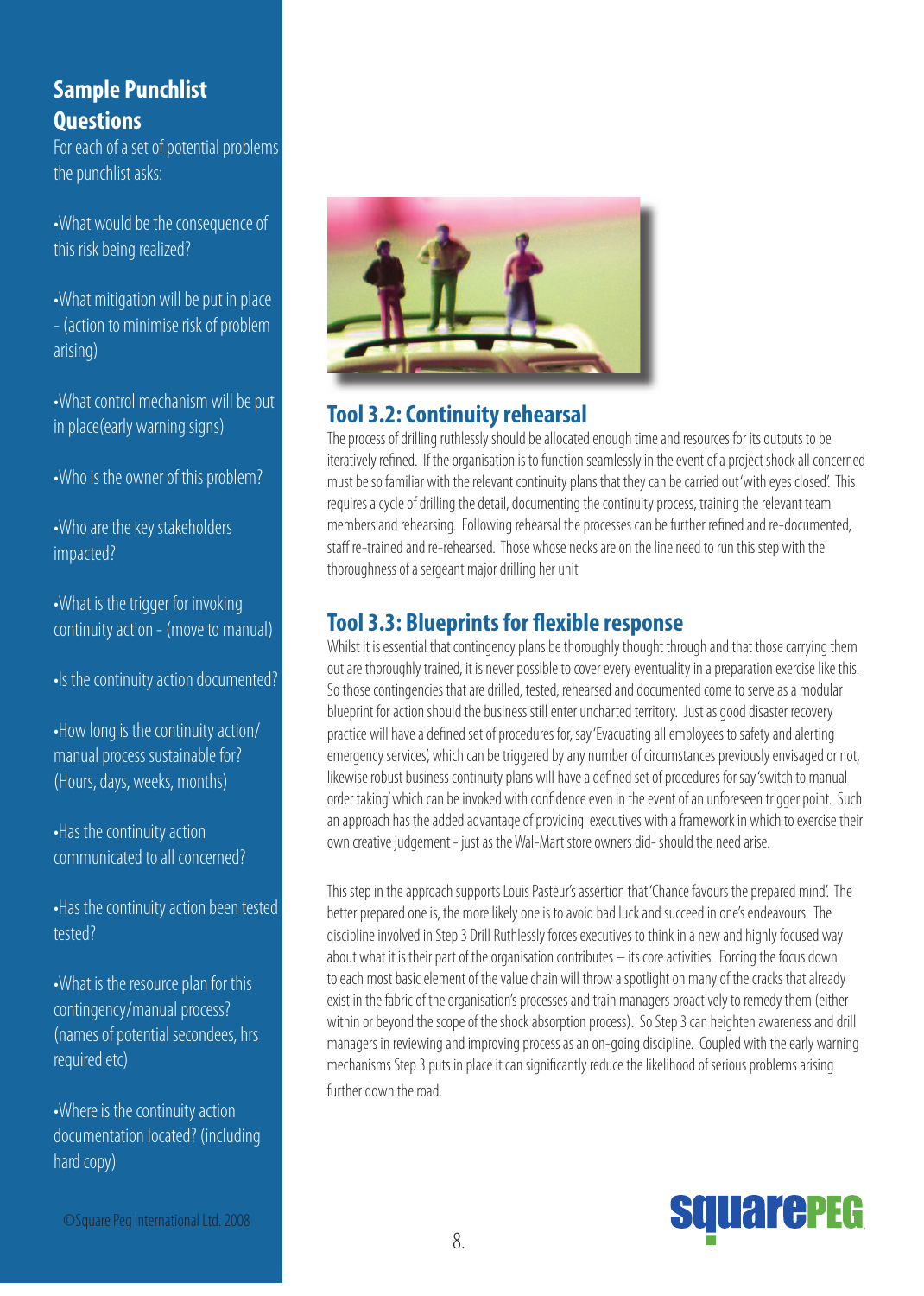### **Sample Punchlist Questions**

For each of a set of potential problems the punchlist asks:

•What would be the consequence of this risk being realized?

•What mitigation will be put in place - (action to minimise risk of problem arising)

•What control mechanism will be put in place(early warning signs)

•Who is the owner of this problem?

•Who are the key stakeholders impacted?

•What is the trigger for invoking continuity action - (move to manual)

•Is the continuity action documented?

•How long is the continuity action/ manual process sustainable for? (Hours, days, weeks, months)

•Has the continuity action communicated to all concerned?

•Has the continuity action been tested tested?

•What is the resource plan for this contingency/manual process? (names of potential secondees, hrs required etc)

•Where is the continuity action documentation located? (including hard copy)



### **Tool 3.2: Continuity rehearsal**

The process of drilling ruthlessly should be allocated enough time and resources for its outputs to be iteratively refined. If the organisation is to function seamlessly in the event of a project shock all concerned must be so familiar with the relevant continuity plans that they can be carried out 'with eyes closed'. This requires a cycle of drilling the detail, documenting the continuity process, training the relevant team members and rehearsing. Following rehearsal the processes can be further refined and re-documented, staff re-trained and re-rehearsed. Those whose necks are on the line need to run this step with the thoroughness of a sergeant major drilling her unit

### **Tool 3.3: Blueprints for flexible response**

Whilst it is essential that contingency plans be thoroughly thought through and that those carrying them out are thoroughly trained, it is never possible to cover every eventuality in a preparation exercise like this. So those contingencies that are drilled, tested, rehearsed and documented come to serve as a modular blueprint for action should the business still enter uncharted territory. Just as good disaster recovery practice will have a defined set of procedures for, say 'Evacuating all employees to safety and alerting emergency services', which can be triggered by any number of circumstances previously envisaged or not, likewise robust business continuity plans will have a defined set of procedures for say'switch to manual order taking' which can be invoked with confidence even in the event of an unforeseen trigger point. Such an approach has the added advantage of providing executives with a framework in which to exercise their own creative judgement - just as the Wal-Mart store owners did- should the need arise.

This step in the approach supports Louis Pasteur's assertion that 'Chance favours the prepared mind'. The better prepared one is, the more likely one is to avoid bad luck and succeed in one's endeavours. The discipline involved in Step 3 Drill Ruthlessly forces executives to think in a new and highly focused way about what it is their part of the organisation contributes – its core activities. Forcing the focus down to each most basic element of the value chain will throw a spotlight on many of the cracks that already exist in the fabric of the organisation's processes and train managers proactively to remedy them (either within or beyond the scope of the shock absorption process). So Step 3 can heighten awareness and drill managers in reviewing and improving process as an on-going discipline. Coupled with the early warning mechanisms Step 3 puts in place it can significantly reduce the likelihood of serious problems arising further down the road.

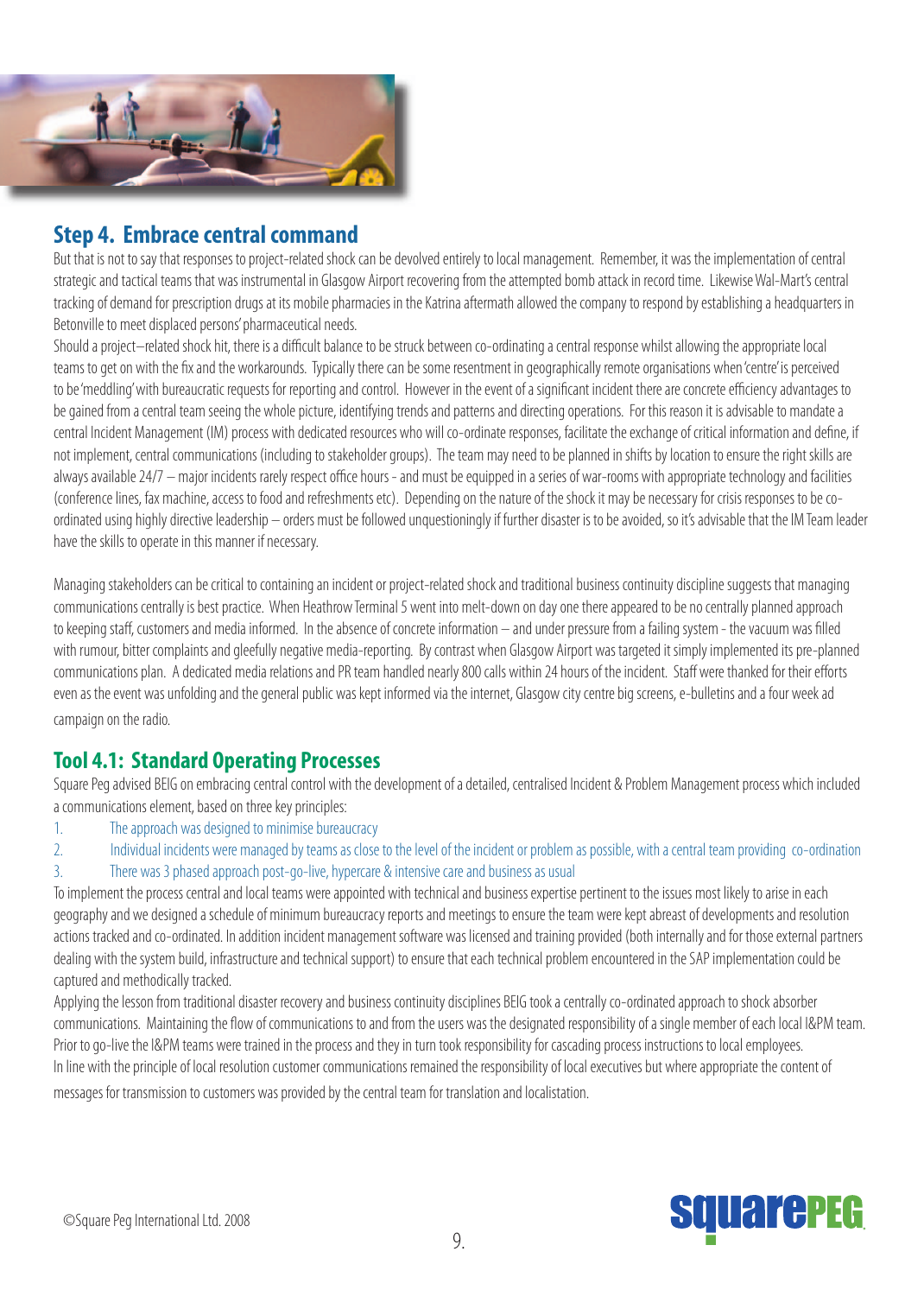

### **Step 4. Embrace central command**

But that is not to say that responses to project-related shock can be devolved entirely to local management. Remember, it was the implementation of central strategic and tactical teams that was instrumental in Glasgow Airport recovering from the attempted bomb attack in record time. Likewise Wal-Mart's central tracking of demand for prescription drugs at its mobile pharmacies in the Katrina aftermath allowed the company to respond by establishing a headquarters in Betonville to meet displaced persons' pharmaceutical needs.

Should a project-related shock hit, there is a difficult balance to be struck between co-ordinating a central response whilst allowing the appropriate local teams to get on with the fix and the workarounds. Typically there can be some resentment in geographically remote organisations when 'centre' is perceived to be 'meddling' with bureaucratic requests for reporting and control. However in the event of a significant incident there are concrete efficiency advantages to be gained from a central team seeing the whole picture, identifying trends and patterns and directing operations. For this reason it is advisable to mandate a central Incident Management (IM) process with dedicated resources who will co-ordinate responses, facilitate the exchange of critical information and define, if not implement, central communications (including to stakeholder groups). The team may need to be planned in shifts by location to ensure the right skills are always available 24/7 – major incidents rarely respect office hours - and must be equipped in a series of war-rooms with appropriate technology and facilities (conference lines, fax machine, access to food and refreshments etc). Depending on the nature of the shock it may be necessary for crisis responses to be coordinated using highly directive leadership – orders must be followed unquestioningly if further disaster is to be avoided, so it's advisable that the IM Team leader have the skills to operate in this manner if necessary.

Managing stakeholders can be critical to containing an incident or project-related shock and traditional business continuity discipline suggests that managing communications centrally is best practice. When Heathrow Terminal 5 went into melt-down on day one there appeared to be no centrally planned approach to keeping staff, customers and media informed. In the absence of concrete information – and under pressure from a failing system - the vacuum was filled with rumour, bitter complaints and gleefully negative media-reporting. By contrast when Glasgow Airport was targeted it simply implemented its pre-planned communications plan. A dedicated media relations and PR team handled nearly 800 calls within 24 hours of the incident. Staff were thanked for their efforts even as the event was unfolding and the general public was kept informed via the internet, Glasgow city centre big screens, e-bulletins and a four week ad campaign on the radio.

### **Tool 4.1: Standard Operating Processes**

Square Peg advised BEIG on embracing central control with the development of a detailed, centralised Incident & Problem Management process which included a communications element, based on three key principles:

- 1. The approach was designed to minimise bureaucracy
- 2. Individual incidents were managed by teams as close to the level of the incident or problem as possible, with a central team providing co-ordination
- 3. There was 3 phased approach post-go-live, hypercare & intensive care and business as usual

To implement the process central and local teams were appointed with technical and business expertise pertinent to the issues most likely to arise in each geography and we designed a schedule of minimum bureaucracy reports and meetings to ensure the team were kept abreast of developments and resolution actions tracked and co-ordinated. In addition incident management software was licensed and training provided (both internally and for those external partners dealing with the system build, infrastructure and technical support) to ensure that each technical problem encountered in the SAP implementation could be captured and methodically tracked.

Applying the lesson from traditional disaster recovery and business continuity disciplines BEIG took a centrally co-ordinated approach to shock absorber communications. Maintaining the flow of communications to and from the users was the designated responsibility of a single member of each local I&PM team. Prior to go-live the I&PM teams were trained in the process and they in turn took responsibility for cascading process instructions to local employees. In line with the principle of local resolution customer communications remained the responsibility of local executives but where appropriate the content of messages for transmission to customers was provided by the central team for translation and localistation.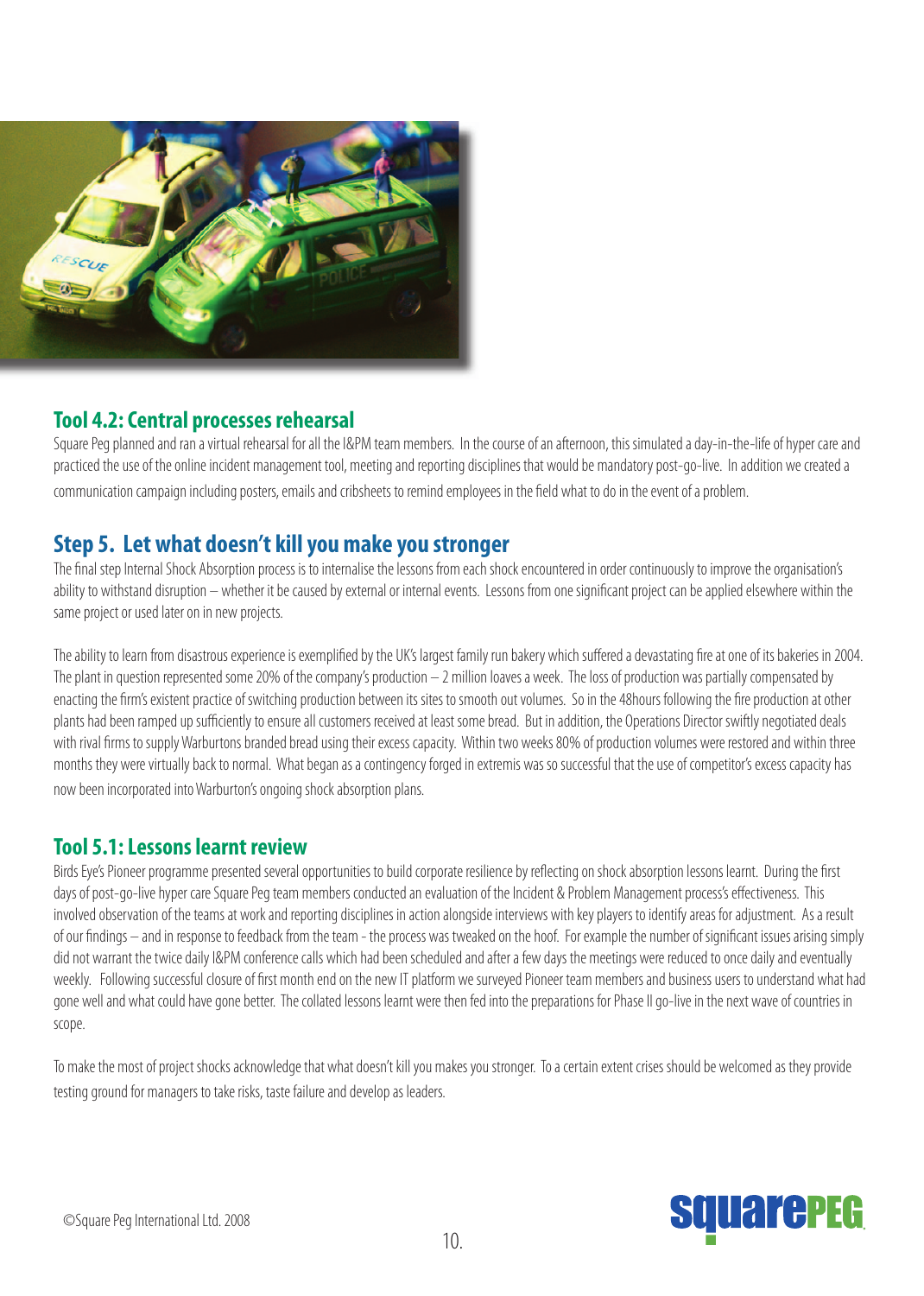

### **Tool 4.2: Central processes rehearsal**

Square Peg planned and ran a virtual rehearsal for all the I&PM team members. In the course of an afternoon, this simulated a day-in-the-life of hyper care and practiced the use of the online incident management tool, meeting and reporting disciplines that would be mandatory post-go-live. In addition we created a communication campaign including posters, emails and cribsheets to remind employees in the field what to do in the event of a problem.

### **Step 5. Let what doesn't kill you make you stronger**

The final step Internal Shock Absorption process is to internalise the lessons from each shock encountered in order continuously to improve the organisation's ability to withstand disruption – whether it be caused by external or internal events. Lessons from one significant project can be applied elsewhere within the same project or used later on in new projects.

The ability to learn from disastrous experience is exemplified by the UK's largest family run bakery which suffered a devastating fire at one of its bakeries in 2004. The plant in question represented some 20% of the company's production  $-$  2 million loaves a week. The loss of production was partially compensated by enacting the firm's existent practice of switching production between its sites to smooth out volumes. So in the 48hours following the fire production at other plants had been ramped up sufficiently to ensure all customers received at least some bread. But in addition, the Operations Director swiftly negotiated deals with rival firms to supply Warburtons branded bread using their excess capacity. Within two weeks 80% of production volumes were restored and within three months they were virtually back to normal. What began as a contingency forged in extremis was so successful that the use of competitor's excess capacity has now been incorporated into Warburton's ongoing shock absorption plans.

### **Tool 5.1: Lessons learnt review**

Birds Eye's Pioneer programme presented several opportunities to build corporate resilience by reflecting on shock absorption lessons learnt. During the first days of post-go-live hyper care Square Peg team members conducted an evaluation of the Incident & Problem Management process's effectiveness. This involved observation of the teams at work and reporting disciplines in action alongside interviews with key players to identify areas for adjustment. As a result of our findings – and in response to feedback from the team - the process was tweaked on the hoof. For example the number of significant issues arising simply did not warrant the twice daily I&PM conference calls which had been scheduled and after a few days the meetings were reduced to once daily and eventually weekly. Following successful closure of first month end on the new IT platform we surveyed Pioneer team members and business users to understand what had gone well and what could have gone better. The collated lessons learnt were then fed into the preparations for Phase II go-live in the next wave of countries in scope.

To make the most of project shocks acknowledge that what doesn't kill you makes you stronger. To a certain extent crises should be welcomed as they provide testing ground for managers to take risks, taste failure and develop as leaders.

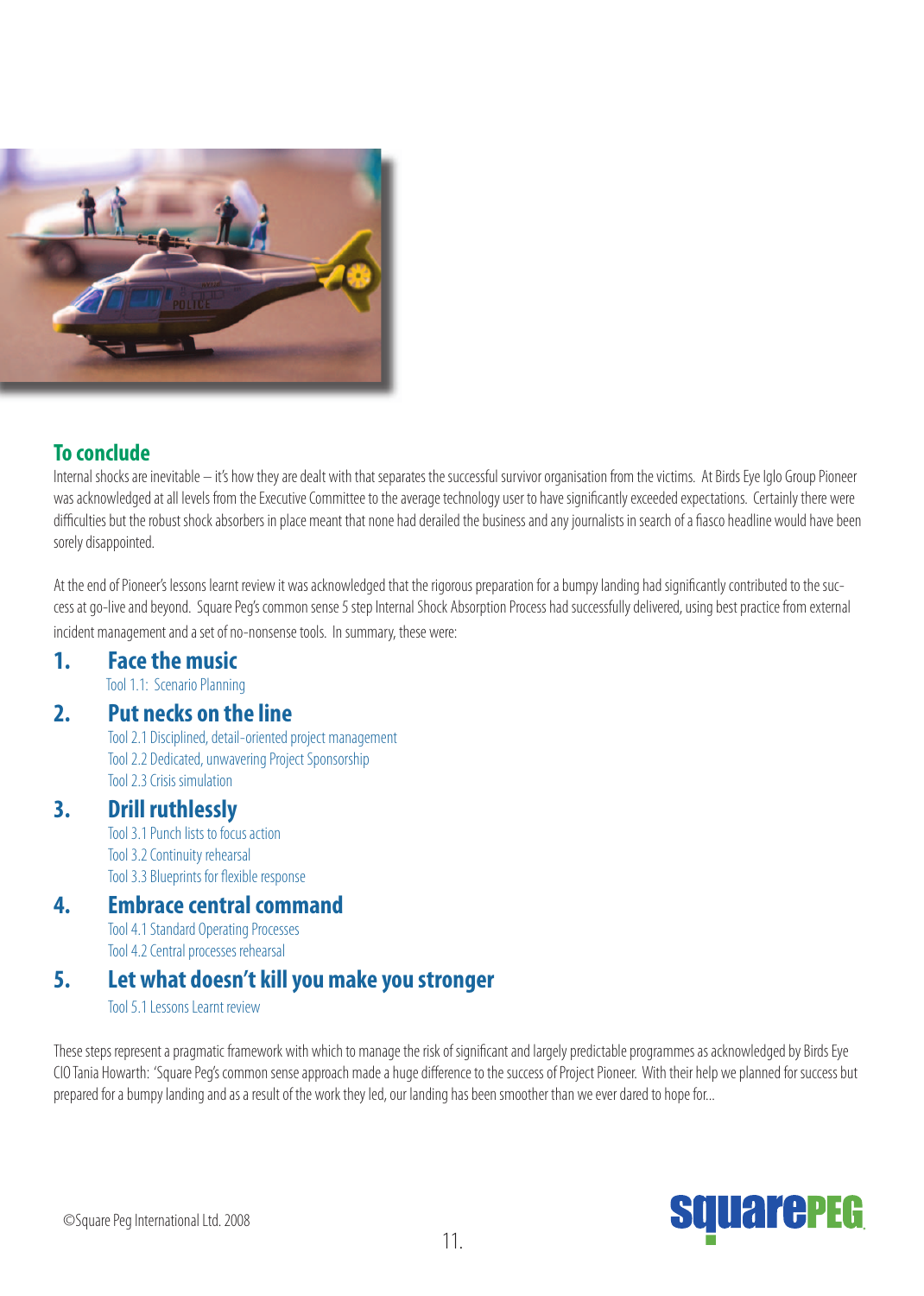

### **To conclude**

Internal shocks are inevitable – it's how they are dealt with that separates the successful survivor organisation from the victims. At Birds Eye Iglo Group Pioneer was acknowledged at all levels from the Executive Committee to the average technology user to have significantly exceeded expectations. Certainly there were difficulties but the robust shock absorbers in place meant that none had derailed the business and any journalists in search of a fiasco headline would have been sorely disappointed.

At the end of Pioneer's lessons learnt review it was acknowledged that the rigorous preparation for a bumpy landing had significantly contributed to the success at go-live and beyond. Square Peg's common sense 5 step Internal Shock Absorption Process had successfully delivered, using best practice from external incident management and a set of no-nonsense tools. In summary, these were:

### **1. Face the music**

Tool 1.1: Scenario Planning

### **2. Put necks on the line**

 Tool 2.1 Disciplined, detail-oriented project management Tool 2.2 Dedicated, unwavering Project Sponsorship Tool 2.3 Crisis simulation

### **3. Drill ruthlessly**

Tool 3.1 Punch lists to focus action Tool 3.2 Continuity rehearsal Tool 3.3 Blueprints for flexible response

### **4. Embrace central command**

Tool 4.1 Standard Operating Processes Tool 4.2 Central processes rehearsal

### **5. Let what doesn't kill you make you stronger**

Tool 5.1 Lessons Learnt review

These steps represent a pragmatic framework with which to manage the risk of significant and largely predictable programmes as acknowledged by Birds Eye CIO Tania Howarth: 'Square Peg's common sense approach made a huge difference to the success of Project Pioneer. With their help we planned for success but prepared for a bumpy landing and as a result of the work they led, our landing has been smoother than we ever dared to hope for...